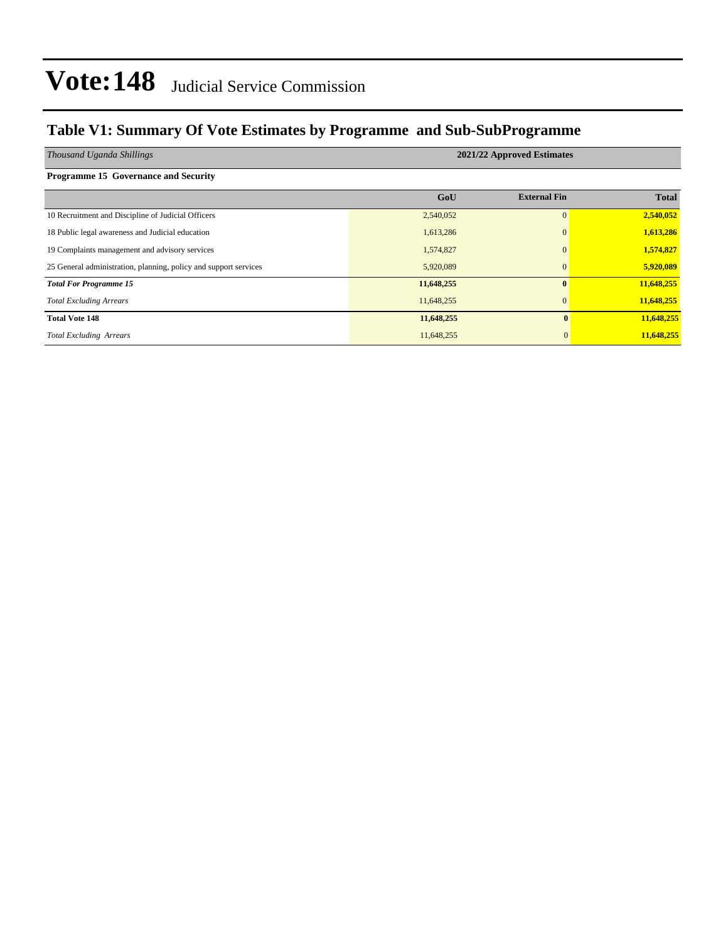### **Table V1: Summary Of Vote Estimates by Programme and Sub-SubProgramme**

| Thousand Uganda Shillings                                        | 2021/22 Approved Estimates |                     |              |  |  |  |  |
|------------------------------------------------------------------|----------------------------|---------------------|--------------|--|--|--|--|
| <b>Programme 15 Governance and Security</b>                      |                            |                     |              |  |  |  |  |
|                                                                  | GoU                        | <b>External Fin</b> | <b>Total</b> |  |  |  |  |
| 10 Recruitment and Discipline of Judicial Officers               | 2,540,052                  | $\Omega$            | 2,540,052    |  |  |  |  |
| 18 Public legal awareness and Judicial education                 | 1,613,286                  | $\Omega$            | 1,613,286    |  |  |  |  |
| 19 Complaints management and advisory services                   | 1,574,827                  | $\Omega$            | 1,574,827    |  |  |  |  |
| 25 General administration, planning, policy and support services | 5,920,089                  | $\overline{0}$      | 5,920,089    |  |  |  |  |
| <b>Total For Programme 15</b>                                    | 11,648,255                 | $\mathbf{0}$        | 11,648,255   |  |  |  |  |
| <b>Total Excluding Arrears</b>                                   | 11,648,255                 | $\Omega$            | 11,648,255   |  |  |  |  |
| <b>Total Vote 148</b>                                            | 11,648,255                 | $\mathbf{0}$        | 11,648,255   |  |  |  |  |
| <b>Total Excluding Arrears</b>                                   | 11,648,255                 | $\mathbf{0}$        | 11,648,255   |  |  |  |  |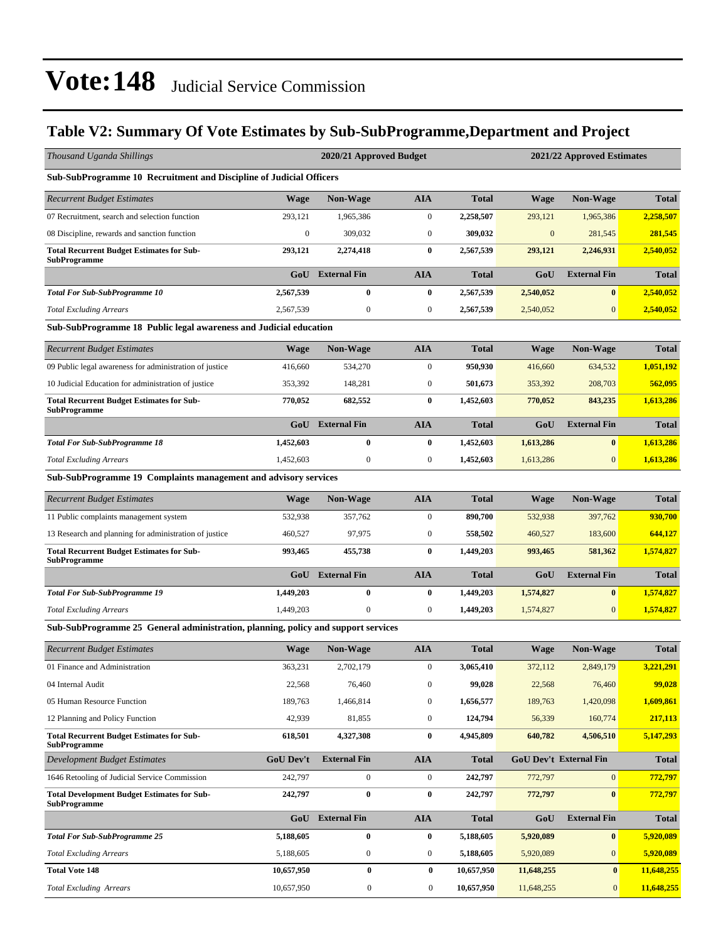### **Table V2: Summary Of Vote Estimates by Sub-SubProgramme,Department and Project**

| Thousand Uganda Shillings                                                         |                  | 2020/21 Approved Budget |                  |              |                               | 2021/22 Approved Estimates |              |
|-----------------------------------------------------------------------------------|------------------|-------------------------|------------------|--------------|-------------------------------|----------------------------|--------------|
| Sub-SubProgramme 10 Recruitment and Discipline of Judicial Officers               |                  |                         |                  |              |                               |                            |              |
| <b>Recurrent Budget Estimates</b>                                                 | <b>Wage</b>      | <b>Non-Wage</b>         | <b>AIA</b>       | <b>Total</b> | <b>Wage</b>                   | <b>Non-Wage</b>            | <b>Total</b> |
| 07 Recruitment, search and selection function                                     | 293,121          | 1,965,386               | $\boldsymbol{0}$ | 2,258,507    | 293,121                       | 1,965,386                  | 2,258,507    |
| 08 Discipline, rewards and sanction function                                      | $\mathbf{0}$     | 309,032                 | $\boldsymbol{0}$ | 309,032      | $\mathbf{0}$                  | 281,545                    | 281,545      |
| <b>Total Recurrent Budget Estimates for Sub-</b><br><b>SubProgramme</b>           | 293,121          | 2,274,418               | $\bf{0}$         | 2,567,539    | 293,121                       | 2,246,931                  | 2,540,052    |
|                                                                                   | GoU              | <b>External Fin</b>     | <b>AIA</b>       | <b>Total</b> | GoU                           | <b>External Fin</b>        | <b>Total</b> |
| <b>Total For Sub-SubProgramme 10</b>                                              | 2,567,539        | $\bf{0}$                | $\bf{0}$         | 2,567,539    | 2,540,052                     | $\bf{0}$                   | 2,540,052    |
| <b>Total Excluding Arrears</b>                                                    | 2,567,539        | $\boldsymbol{0}$        | $\boldsymbol{0}$ | 2,567,539    | 2,540,052                     | $\boldsymbol{0}$           | 2,540,052    |
| Sub-SubProgramme 18 Public legal awareness and Judicial education                 |                  |                         |                  |              |                               |                            |              |
| <b>Recurrent Budget Estimates</b>                                                 | Wage             | <b>Non-Wage</b>         | <b>AIA</b>       | <b>Total</b> | <b>Wage</b>                   | Non-Wage                   | <b>Total</b> |
| 09 Public legal awareness for administration of justice                           | 416,660          | 534,270                 | $\mathbf{0}$     | 950,930      | 416,660                       | 634,532                    | 1,051,192    |
| 10 Judicial Education for administration of justice                               | 353,392          | 148,281                 | $\boldsymbol{0}$ | 501,673      | 353,392                       | 208,703                    | 562,095      |
| <b>Total Recurrent Budget Estimates for Sub-</b><br><b>SubProgramme</b>           | 770,052          | 682,552                 | 0                | 1,452,603    | 770,052                       | 843,235                    | 1,613,286    |
|                                                                                   | GoU              | <b>External Fin</b>     | <b>AIA</b>       | <b>Total</b> | GoU                           | <b>External Fin</b>        | <b>Total</b> |
| <b>Total For Sub-SubProgramme 18</b>                                              | 1,452,603        | $\bf{0}$                | $\bf{0}$         | 1,452,603    | 1,613,286                     | $\bf{0}$                   | 1,613,286    |
| <b>Total Excluding Arrears</b>                                                    | 1,452,603        | $\boldsymbol{0}$        | $\boldsymbol{0}$ | 1,452,603    | 1,613,286                     | $\mathbf{0}$               | 1,613,286    |
| Sub-SubProgramme 19 Complaints management and advisory services                   |                  |                         |                  |              |                               |                            |              |
| <b>Recurrent Budget Estimates</b>                                                 | <b>Wage</b>      | Non-Wage                | <b>AIA</b>       | <b>Total</b> | <b>Wage</b>                   | <b>Non-Wage</b>            | <b>Total</b> |
| 11 Public complaints management system                                            | 532,938          | 357,762                 | $\boldsymbol{0}$ | 890,700      | 532,938                       | 397,762                    | 930,700      |
| 13 Research and planning for administration of justice                            | 460,527          | 97,975                  | $\boldsymbol{0}$ | 558,502      | 460,527                       | 183,600                    | 644,127      |
| <b>Total Recurrent Budget Estimates for Sub-</b><br><b>SubProgramme</b>           | 993,465          | 455,738                 | 0                | 1,449,203    | 993,465                       | 581,362                    | 1,574,827    |
|                                                                                   | GoU              | <b>External Fin</b>     | <b>AIA</b>       | <b>Total</b> | GoU                           | <b>External Fin</b>        | <b>Total</b> |
| <b>Total For Sub-SubProgramme 19</b>                                              | 1,449,203        | $\bf{0}$                | $\bf{0}$         | 1,449,203    | 1,574,827                     | $\bf{0}$                   | 1,574,827    |
| <b>Total Excluding Arrears</b>                                                    | 1,449,203        | $\mathbf{0}$            | $\boldsymbol{0}$ | 1,449,203    | 1,574,827                     | $\mathbf{0}$               | 1,574,827    |
| Sub-SubProgramme 25 General administration, planning, policy and support services |                  |                         |                  |              |                               |                            |              |
| Recurrent Budget Estimates                                                        | <b>Wage</b>      | <b>Non-Wage</b>         | <b>AIA</b>       | <b>Total</b> | <b>Wage</b>                   | <b>Non-Wage</b>            | <b>Total</b> |
| 01 Finance and Administration                                                     | 363,231          | 2,702,179               | $\boldsymbol{0}$ | 3,065,410    | 372,112                       | 2,849,179                  | 3,221,291    |
| 04 Internal Audit                                                                 | 22,568           | 76,460                  | $\boldsymbol{0}$ | 99,028       | 22,568                        | 76,460                     | 99,028       |
| 05 Human Resource Function                                                        | 189,763          | 1,466,814               | $\boldsymbol{0}$ | 1,656,577    | 189,763                       | 1,420,098                  | 1,609,861    |
| 12 Planning and Policy Function                                                   | 42,939           | 81,855                  | $\boldsymbol{0}$ | 124,794      | 56,339                        | 160,774                    | 217,113      |
| <b>Total Recurrent Budget Estimates for Sub-</b><br><b>SubProgramme</b>           | 618,501          | 4,327,308               | 0                | 4,945,809    | 640,782                       | 4,506,510                  | 5,147,293    |
| <b>Development Budget Estimates</b>                                               | <b>GoU Dev't</b> | <b>External Fin</b>     | <b>AIA</b>       | <b>Total</b> | <b>GoU Dev't External Fin</b> |                            | <b>Total</b> |
| 1646 Retooling of Judicial Service Commission                                     | 242,797          | $\boldsymbol{0}$        | $\boldsymbol{0}$ | 242,797      | 772,797                       | $\mathbf{0}$               | 772,797      |
| <b>Total Development Budget Estimates for Sub-</b><br><b>SubProgramme</b>         | 242,797          | $\boldsymbol{0}$        | 0                | 242,797      | 772,797                       | $\bf{0}$                   | 772,797      |
|                                                                                   | GoU              | <b>External Fin</b>     | <b>AIA</b>       | <b>Total</b> | GoU                           | <b>External Fin</b>        | <b>Total</b> |
| <b>Total For Sub-SubProgramme 25</b>                                              | 5,188,605        | $\boldsymbol{0}$        | 0                | 5,188,605    | 5,920,089                     | $\bf{0}$                   | 5,920,089    |
| <b>Total Excluding Arrears</b>                                                    | 5,188,605        | $\boldsymbol{0}$        | $\boldsymbol{0}$ | 5,188,605    | 5,920,089                     | $\boldsymbol{0}$           | 5,920,089    |
| <b>Total Vote 148</b>                                                             | 10,657,950       | $\bf{0}$                | $\bf{0}$         | 10,657,950   | 11,648,255                    | $\bf{0}$                   | 11,648,255   |
| <b>Total Excluding Arrears</b>                                                    | 10,657,950       | $\boldsymbol{0}$        | $\boldsymbol{0}$ | 10,657,950   | 11,648,255                    | $\mathbf{0}$               | 11,648,255   |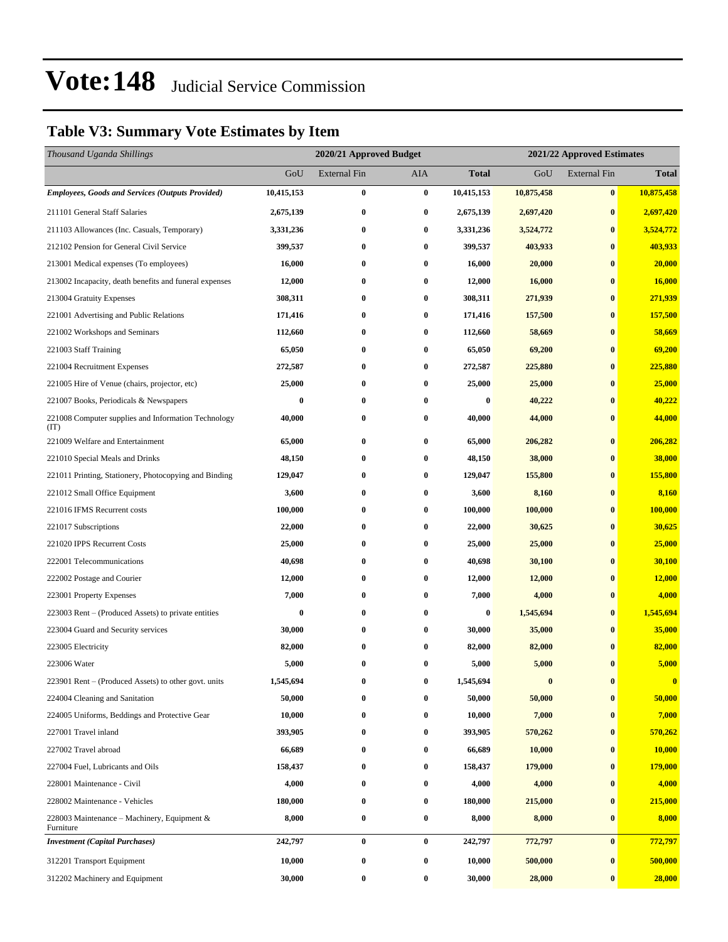### **Table V3: Summary Vote Estimates by Item**

| Thousand Uganda Shillings                                   |            | 2020/21 Approved Budget |                  | 2021/22 Approved Estimates |            |                     |              |
|-------------------------------------------------------------|------------|-------------------------|------------------|----------------------------|------------|---------------------|--------------|
|                                                             | GoU        | <b>External Fin</b>     | <b>AIA</b>       | <b>Total</b>               | GoU        | <b>External Fin</b> | <b>Total</b> |
| <b>Employees, Goods and Services (Outputs Provided)</b>     | 10,415,153 | $\bf{0}$                | $\bf{0}$         | 10,415,153                 | 10,875,458 | $\bf{0}$            | 10,875,458   |
| 211101 General Staff Salaries                               | 2,675,139  | $\bf{0}$                | $\bf{0}$         | 2,675,139                  | 2,697,420  | $\bf{0}$            | 2,697,420    |
| 211103 Allowances (Inc. Casuals, Temporary)                 | 3,331,236  | $\bf{0}$                | $\bf{0}$         | 3,331,236                  | 3,524,772  | $\bf{0}$            | 3,524,772    |
| 212102 Pension for General Civil Service                    | 399,537    | $\bf{0}$                | $\bf{0}$         | 399,537                    | 403,933    | $\bf{0}$            | 403,933      |
| 213001 Medical expenses (To employees)                      | 16,000     | $\bf{0}$                | $\bf{0}$         | 16,000                     | 20,000     | $\bf{0}$            | 20,000       |
| 213002 Incapacity, death benefits and funeral expenses      | 12,000     | $\bf{0}$                | $\bf{0}$         | 12,000                     | 16,000     | $\bf{0}$            | 16,000       |
| 213004 Gratuity Expenses                                    | 308,311    | $\bf{0}$                | $\bf{0}$         | 308,311                    | 271,939    | $\bf{0}$            | 271,939      |
| 221001 Advertising and Public Relations                     | 171,416    | $\bf{0}$                | $\bf{0}$         | 171,416                    | 157,500    | $\bf{0}$            | 157,500      |
| 221002 Workshops and Seminars                               | 112,660    | $\bf{0}$                | $\bf{0}$         | 112,660                    | 58,669     | $\bf{0}$            | 58,669       |
| 221003 Staff Training                                       | 65,050     | $\bf{0}$                | $\bf{0}$         | 65,050                     | 69,200     | $\bf{0}$            | 69,200       |
| 221004 Recruitment Expenses                                 | 272,587    | $\bf{0}$                | $\bf{0}$         | 272,587                    | 225,880    | $\bf{0}$            | 225,880      |
| 221005 Hire of Venue (chairs, projector, etc)               | 25,000     | $\bf{0}$                | $\bf{0}$         | 25,000                     | 25,000     | $\bf{0}$            | 25,000       |
| 221007 Books, Periodicals & Newspapers                      | 0          | $\bf{0}$                | $\bf{0}$         | 0                          | 40,222     | $\bf{0}$            | 40,222       |
| 221008 Computer supplies and Information Technology<br>(TT) | 40,000     | $\bf{0}$                | $\bf{0}$         | 40,000                     | 44,000     | $\bf{0}$            | 44,000       |
| 221009 Welfare and Entertainment                            | 65,000     | $\bf{0}$                | $\bf{0}$         | 65,000                     | 206,282    | $\bf{0}$            | 206,282      |
| 221010 Special Meals and Drinks                             | 48,150     | $\bf{0}$                | $\bf{0}$         | 48,150                     | 38,000     | $\bf{0}$            | 38,000       |
| 221011 Printing, Stationery, Photocopying and Binding       | 129,047    | 0                       | $\bf{0}$         | 129,047                    | 155,800    | $\bf{0}$            | 155,800      |
| 221012 Small Office Equipment                               | 3,600      | $\bf{0}$                | $\bf{0}$         | 3,600                      | 8,160      | $\bf{0}$            | 8,160        |
| 221016 IFMS Recurrent costs                                 | 100,000    | $\bf{0}$                | $\bf{0}$         | 100,000                    | 100,000    | $\bf{0}$            | 100,000      |
| 221017 Subscriptions                                        | 22,000     | $\bf{0}$                | $\bf{0}$         | 22,000                     | 30,625     | $\bf{0}$            | 30,625       |
| 221020 IPPS Recurrent Costs                                 | 25,000     | $\bf{0}$                | $\bf{0}$         | 25,000                     | 25,000     | $\bf{0}$            | 25,000       |
| 222001 Telecommunications                                   | 40,698     | $\bf{0}$                | $\bf{0}$         | 40,698                     | 30,100     | $\bf{0}$            | 30,100       |
| 222002 Postage and Courier                                  | 12,000     | $\bf{0}$                | $\bf{0}$         | 12,000                     | 12,000     | $\bf{0}$            | 12,000       |
| 223001 Property Expenses                                    | 7,000      | $\bf{0}$                | $\bf{0}$         | 7,000                      | 4,000      | $\bf{0}$            | 4,000        |
| 223003 Rent – (Produced Assets) to private entities         | 0          | $\bf{0}$                | $\bf{0}$         | $\bf{0}$                   | 1,545,694  | $\bf{0}$            | 1,545,694    |
| 223004 Guard and Security services                          | 30,000     | $\bf{0}$                | $\bf{0}$         | 30,000                     | 35,000     | $\bf{0}$            | 35,000       |
| 223005 Electricity                                          | 82,000     | 0                       | $\bf{0}$         | 82,000                     | 82,000     | $\bf{0}$            | 82,000       |
| 223006 Water                                                | 5,000      | $\bf{0}$                | $\bf{0}$         | 5,000                      | 5,000      | $\bf{0}$            | 5,000        |
| 223901 Rent – (Produced Assets) to other govt. units        | 1,545,694  | 0                       | $\bf{0}$         | 1,545,694                  | $\bf{0}$   | $\bf{0}$            | $\bf{0}$     |
| 224004 Cleaning and Sanitation                              | 50,000     | 0                       | $\bf{0}$         | 50,000                     | 50,000     | $\bf{0}$            | 50,000       |
| 224005 Uniforms, Beddings and Protective Gear               | 10,000     | $\bf{0}$                | $\bf{0}$         | 10,000                     | 7,000      | $\bf{0}$            | 7,000        |
| 227001 Travel inland                                        | 393,905    | $\bf{0}$                | $\bf{0}$         | 393,905                    | 570,262    | $\bf{0}$            | 570,262      |
| 227002 Travel abroad                                        | 66,689     | $\bf{0}$                | $\bf{0}$         | 66,689                     | 10,000     | $\bf{0}$            | 10,000       |
| 227004 Fuel, Lubricants and Oils                            | 158,437    | 0                       | $\bf{0}$         | 158,437                    | 179,000    | $\bf{0}$            | 179,000      |
| 228001 Maintenance - Civil                                  | 4,000      | $\bf{0}$                | $\bf{0}$         | 4,000                      | 4,000      | $\bf{0}$            | 4,000        |
| 228002 Maintenance - Vehicles                               | 180,000    | $\bf{0}$                | $\bf{0}$         | 180,000                    | 215,000    | $\bf{0}$            | 215,000      |
| 228003 Maintenance – Machinery, Equipment &<br>Furniture    | 8,000      | $\bf{0}$                | $\bf{0}$         | 8,000                      | 8,000      | $\bf{0}$            | 8,000        |
| <b>Investment</b> (Capital Purchases)                       | 242,797    | $\bf{0}$                | $\bf{0}$         | 242,797                    | 772,797    | $\bf{0}$            | 772,797      |
| 312201 Transport Equipment                                  | 10,000     | $\bf{0}$                | $\bf{0}$         | 10,000                     | 500,000    | $\bf{0}$            | 500,000      |
| 312202 Machinery and Equipment                              | 30,000     | $\bf{0}$                | $\boldsymbol{0}$ | 30,000                     | 28,000     | $\bf{0}$            | 28,000       |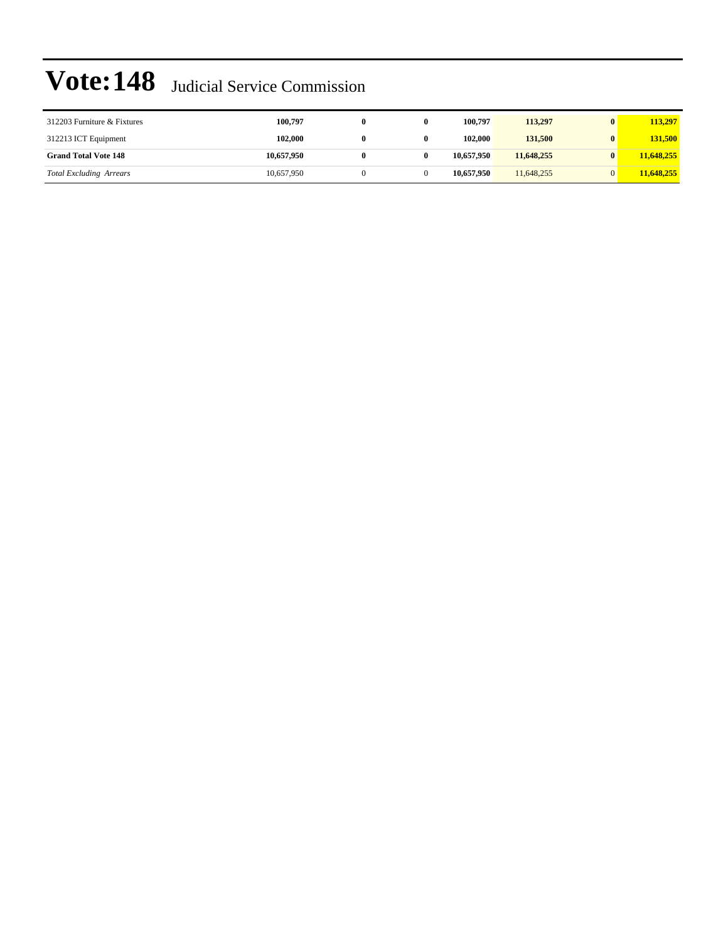| 312203 Furniture & Fixtures    | 100,797    | 0 | 100.797    | 113,297    | 113,297    |
|--------------------------------|------------|---|------------|------------|------------|
| 312213 ICT Equipment           | 102,000    | 0 | 102,000    | 131,500    | 131.500    |
| <b>Grand Total Vote 148</b>    | 10,657,950 |   | 10,657,950 | 11,648,255 | 11,648,255 |
| <b>Total Excluding Arrears</b> | 10,657,950 |   | 10.657.950 | 11,648,255 | 11,648,255 |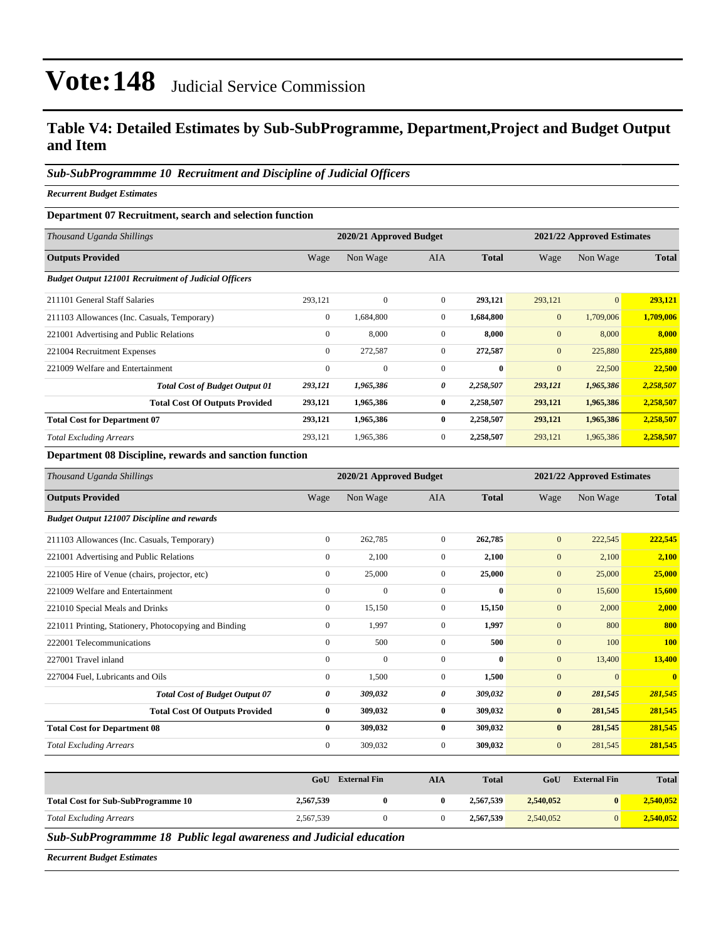### **Table V4: Detailed Estimates by Sub-SubProgramme, Department,Project and Budget Output and Item**

#### *Sub-SubProgrammme 10 Recruitment and Discipline of Judicial Officers*

*Recurrent Budget Estimates*

#### **Department 07 Recruitment, search and selection function**

| Thousand Uganda Shillings                                    |              | 2020/21 Approved Budget |                | 2021/22 Approved Estimates |              |                |              |
|--------------------------------------------------------------|--------------|-------------------------|----------------|----------------------------|--------------|----------------|--------------|
| <b>Outputs Provided</b>                                      | Wage         | Non Wage                | <b>AIA</b>     | <b>Total</b>               | Wage         | Non Wage       | <b>Total</b> |
| <b>Budget Output 121001 Recruitment of Judicial Officers</b> |              |                         |                |                            |              |                |              |
| 211101 General Staff Salaries                                | 293.121      | $\Omega$                | $\overline{0}$ | 293,121                    | 293,121      | $\overline{0}$ | 293,121      |
| 211103 Allowances (Inc. Casuals, Temporary)                  | $\mathbf{0}$ | 1,684,800               | $\mathbf{0}$   | 1,684,800                  | $\mathbf{0}$ | 1,709,006      | 1,709,006    |
| 221001 Advertising and Public Relations                      | $\mathbf{0}$ | 8,000                   | $\mathbf{0}$   | 8.000                      | $\mathbf{0}$ | 8,000          | 8,000        |
| 221004 Recruitment Expenses                                  | $\mathbf{0}$ | 272,587                 | $\overline{0}$ | 272,587                    | $\mathbf{0}$ | 225,880        | 225,880      |
| 221009 Welfare and Entertainment                             | $\mathbf{0}$ | $\mathbf{0}$            | $\mathbf{0}$   | $\mathbf{0}$               | $\mathbf{0}$ | 22,500         | 22,500       |
| <b>Total Cost of Budget Output 01</b>                        | 293,121      | 1,965,386               | 0              | 2,258,507                  | 293,121      | 1,965,386      | 2,258,507    |
| <b>Total Cost Of Outputs Provided</b>                        | 293,121      | 1,965,386               | $\bf{0}$       | 2,258,507                  | 293,121      | 1,965,386      | 2,258,507    |
| <b>Total Cost for Department 07</b>                          | 293,121      | 1,965,386               | $\mathbf{0}$   | 2,258,507                  | 293,121      | 1,965,386      | 2,258,507    |
| <b>Total Excluding Arrears</b>                               | 293,121      | 1,965,386               | $\overline{0}$ | 2,258,507                  | 293,121      | 1,965,386      | 2,258,507    |

#### **Department 08 Discipline, rewards and sanction function**

| Thousand Uganda Shillings                             | 2020/21 Approved Budget<br>2021/22 Approved Estimates |              |                |              |                       |              |              |
|-------------------------------------------------------|-------------------------------------------------------|--------------|----------------|--------------|-----------------------|--------------|--------------|
| <b>Outputs Provided</b>                               | Wage                                                  | Non Wage     | <b>AIA</b>     | <b>Total</b> | Wage                  | Non Wage     | <b>Total</b> |
| <b>Budget Output 121007 Discipline and rewards</b>    |                                                       |              |                |              |                       |              |              |
| 211103 Allowances (Inc. Casuals, Temporary)           | $\overline{0}$                                        | 262,785      | $\overline{0}$ | 262,785      | $\mathbf{0}$          | 222,545      | 222,545      |
| 221001 Advertising and Public Relations               | $\overline{0}$                                        | 2,100        | $\overline{0}$ | 2,100        | $\mathbf{0}$          | 2,100        | 2,100        |
| 221005 Hire of Venue (chairs, projector, etc)         | $\overline{0}$                                        | 25,000       | $\overline{0}$ | 25,000       | $\mathbf{0}$          | 25,000       | 25,000       |
| 221009 Welfare and Entertainment                      | $\mathbf{0}$                                          | $\mathbf{0}$ | $\mathbf{0}$   | $\mathbf{0}$ | $\mathbf{0}$          | 15,600       | 15,600       |
| 221010 Special Meals and Drinks                       | $\overline{0}$                                        | 15,150       | $\overline{0}$ | 15,150       | $\mathbf{0}$          | 2,000        | 2,000        |
| 221011 Printing, Stationery, Photocopying and Binding | $\Omega$                                              | 1,997        | $\overline{0}$ | 1,997        | $\mathbf{0}$          | 800          | 800          |
| 222001 Telecommunications                             | $\overline{0}$                                        | 500          | $\Omega$       | 500          | $\mathbf{0}$          | 100          | <b>100</b>   |
| 227001 Travel inland                                  | $\overline{0}$                                        | $\mathbf{0}$ | $\mathbf{0}$   | $\mathbf{0}$ | $\mathbf{0}$          | 13,400       | 13,400       |
| 227004 Fuel, Lubricants and Oils                      | $\overline{0}$                                        | 1,500        | $\overline{0}$ | 1,500        | $\mathbf{0}$          | $\mathbf{0}$ | $\mathbf{0}$ |
| <b>Total Cost of Budget Output 07</b>                 | 0                                                     | 309,032      | 0              | 309,032      | $\boldsymbol{\theta}$ | 281,545      | 281,545      |
| <b>Total Cost Of Outputs Provided</b>                 | $\bf{0}$                                              | 309,032      | $\bf{0}$       | 309,032      | $\bf{0}$              | 281,545      | 281,545      |
| <b>Total Cost for Department 08</b>                   | 0                                                     | 309,032      | $\mathbf{0}$   | 309,032      | $\bf{0}$              | 281,545      | 281,545      |
| <b>Total Excluding Arrears</b>                        | $\mathbf{0}$                                          | 309,032      | $\mathbf{0}$   | 309,032      | $\mathbf{0}$          | 281,545      | 281,545      |

|                                           | GoU       | <b>External Fin</b> | AIA | <b>Total</b> | GoU       | <b>External Fin</b> | <b>Total</b> |
|-------------------------------------------|-----------|---------------------|-----|--------------|-----------|---------------------|--------------|
| <b>Total Cost for Sub-SubProgramme 10</b> | 2,567,539 |                     |     | 2.567.539    | 2.540.052 | $\mathbf{0}$        | 2.540.052    |
| Total Excluding Arrears                   | 2,567,539 |                     |     | 2,567,539    | 2.540,052 |                     | 2.540.052    |

*Sub-SubProgrammme 18 Public legal awareness and Judicial education*

*Recurrent Budget Estimates*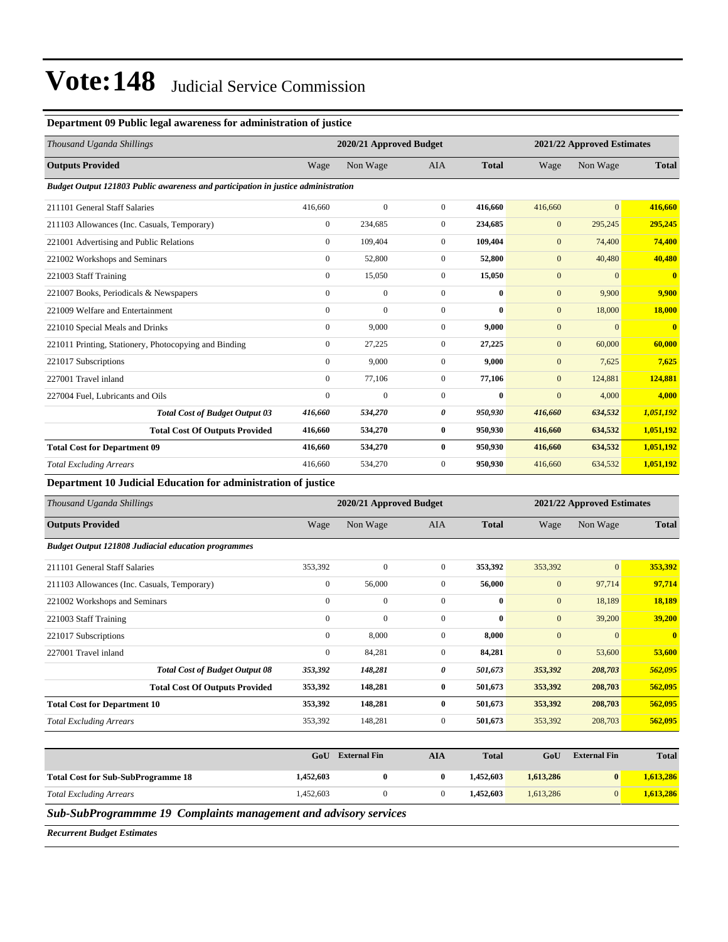#### **Department 09 Public legal awareness for administration of justice**

| Thousand Uganda Shillings                                                         | 2020/21 Approved Budget |                |                |              |              | 2021/22 Approved Estimates |                         |  |
|-----------------------------------------------------------------------------------|-------------------------|----------------|----------------|--------------|--------------|----------------------------|-------------------------|--|
| <b>Outputs Provided</b>                                                           | Wage                    | Non Wage       | <b>AIA</b>     | <b>Total</b> | Wage         | Non Wage                   | <b>Total</b>            |  |
| Budget Output 121803 Public awareness and participation in justice administration |                         |                |                |              |              |                            |                         |  |
| 211101 General Staff Salaries                                                     | 416,660                 | $\mathbf{0}$   | $\overline{0}$ | 416.660      | 416,660      | $\overline{0}$             | 416.660                 |  |
| 211103 Allowances (Inc. Casuals, Temporary)                                       | $\overline{0}$          | 234,685        | $\mathbf{0}$   | 234,685      | $\mathbf{0}$ | 295,245                    | 295,245                 |  |
| 221001 Advertising and Public Relations                                           | $\boldsymbol{0}$        | 109,404        | $\mathbf{0}$   | 109,404      | $\mathbf{0}$ | 74,400                     | 74,400                  |  |
| 221002 Workshops and Seminars                                                     | $\mathbf{0}$            | 52,800         | $\mathbf{0}$   | 52,800       | $\mathbf{0}$ | 40,480                     | 40,480                  |  |
| 221003 Staff Training                                                             | $\mathbf{0}$            | 15,050         | $\overline{0}$ | 15,050       | $\mathbf{0}$ | $\overline{0}$             | $\overline{0}$          |  |
| 221007 Books, Periodicals & Newspapers                                            | $\mathbf{0}$            | $\mathbf{0}$   | $\Omega$       | $\mathbf{0}$ | $\mathbf{0}$ | 9,900                      | 9,900                   |  |
| 221009 Welfare and Entertainment                                                  | $\mathbf{0}$            | $\overline{0}$ | $\mathbf{0}$   | $\bf{0}$     | $\mathbf{0}$ | 18,000                     | <b>18,000</b>           |  |
| 221010 Special Meals and Drinks                                                   | $\mathbf{0}$            | 9.000          | $\overline{0}$ | 9.000        | $\mathbf{0}$ | $\mathbf{0}$               | $\overline{\mathbf{0}}$ |  |
| 221011 Printing, Stationery, Photocopying and Binding                             | $\mathbf{0}$            | 27,225         | $\mathbf{0}$   | 27,225       | $\mathbf{0}$ | 60,000                     | 60,000                  |  |
| 221017 Subscriptions                                                              | $\mathbf{0}$            | 9,000          | $\mathbf{0}$   | 9,000        | $\mathbf{0}$ | 7,625                      | 7,625                   |  |
| 227001 Travel inland                                                              | $\mathbf{0}$            | 77,106         | $\overline{0}$ | 77,106       | $\mathbf{0}$ | 124,881                    | 124,881                 |  |
| 227004 Fuel, Lubricants and Oils                                                  | $\mathbf{0}$            | $\Omega$       | $\mathbf{0}$   | $\mathbf{0}$ | $\mathbf{0}$ | 4,000                      | 4,000                   |  |
| <b>Total Cost of Budget Output 03</b>                                             | 416,660                 | 534,270        | 0              | 950,930      | 416,660      | 634,532                    | 1,051,192               |  |
| <b>Total Cost Of Outputs Provided</b>                                             | 416,660                 | 534,270        | $\bf{0}$       | 950,930      | 416,660      | 634,532                    | 1,051,192               |  |
| <b>Total Cost for Department 09</b>                                               | 416,660                 | 534,270        | $\bf{0}$       | 950,930      | 416,660      | 634,532                    | 1,051,192               |  |
| <b>Total Excluding Arrears</b>                                                    | 416,660                 | 534,270        | $\mathbf{0}$   | 950,930      | 416,660      | 634,532                    | 1,051,192               |  |

**Department 10 Judicial Education for administration of justice**

| Thousand Uganda Shillings                                  | 2020/21 Approved Budget<br>2021/22 Approved Estimates |              |                |              |              |                |              |
|------------------------------------------------------------|-------------------------------------------------------|--------------|----------------|--------------|--------------|----------------|--------------|
| <b>Outputs Provided</b>                                    | Wage                                                  | Non Wage     | <b>AIA</b>     | <b>Total</b> | Wage         | Non Wage       | <b>Total</b> |
| <b>Budget Output 121808 Judiacial education programmes</b> |                                                       |              |                |              |              |                |              |
| 211101 General Staff Salaries                              | 353,392                                               | $\mathbf{0}$ | $\overline{0}$ | 353,392      | 353,392      | $\overline{0}$ | 353,392      |
| 211103 Allowances (Inc. Casuals, Temporary)                | $\boldsymbol{0}$                                      | 56,000       | $\mathbf{0}$   | 56,000       | $\mathbf{0}$ | 97,714         | 97,714       |
| 221002 Workshops and Seminars                              | $\mathbf{0}$                                          | $\mathbf{0}$ | $\mathbf{0}$   | $\bf{0}$     | $\mathbf{0}$ | 18,189         | 18,189       |
| 221003 Staff Training                                      | $\mathbf{0}$                                          | $\mathbf{0}$ | $\mathbf{0}$   | $\bf{0}$     | $\mathbf{0}$ | 39,200         | 39,200       |
| 221017 Subscriptions                                       | $\mathbf{0}$                                          | 8,000        | $\mathbf{0}$   | 8,000        | $\mathbf{0}$ | $\mathbf{0}$   | $\mathbf{0}$ |
| 227001 Travel inland                                       | $\mathbf{0}$                                          | 84,281       | $\overline{0}$ | 84,281       | $\mathbf{0}$ | 53,600         | 53,600       |
| <b>Total Cost of Budget Output 08</b>                      | 353,392                                               | 148,281      | 0              | 501,673      | 353,392      | 208,703        | 562,095      |
| <b>Total Cost Of Outputs Provided</b>                      | 353,392                                               | 148,281      | $\bf{0}$       | 501,673      | 353,392      | 208,703        | 562,095      |
| <b>Total Cost for Department 10</b>                        | 353,392                                               | 148,281      | $\bf{0}$       | 501,673      | 353,392      | 208,703        | 562,095      |
| <b>Total Excluding Arrears</b>                             | 353,392                                               | 148,281      | $\overline{0}$ | 501,673      | 353,392      | 208,703        | 562,095      |
|                                                            |                                                       |              |                |              |              |                |              |

|                                           | GoU       | <b>External Fin</b> | AIA | <b>Total</b> | GoU       | <b>External Fin</b> | <b>Total</b> |
|-------------------------------------------|-----------|---------------------|-----|--------------|-----------|---------------------|--------------|
| <b>Total Cost for Sub-SubProgramme 18</b> | 1,452,603 |                     |     | 1.452.603    | 1.613.286 | $\mathbf{0}$        | 1.613.286    |
| <b>Total Excluding Arrears</b>            | 1,452,603 |                     |     | 1.452.603    | 1.613.286 |                     | 1,613,286    |

*Sub-SubProgrammme 19 Complaints management and advisory services*

*Recurrent Budget Estimates*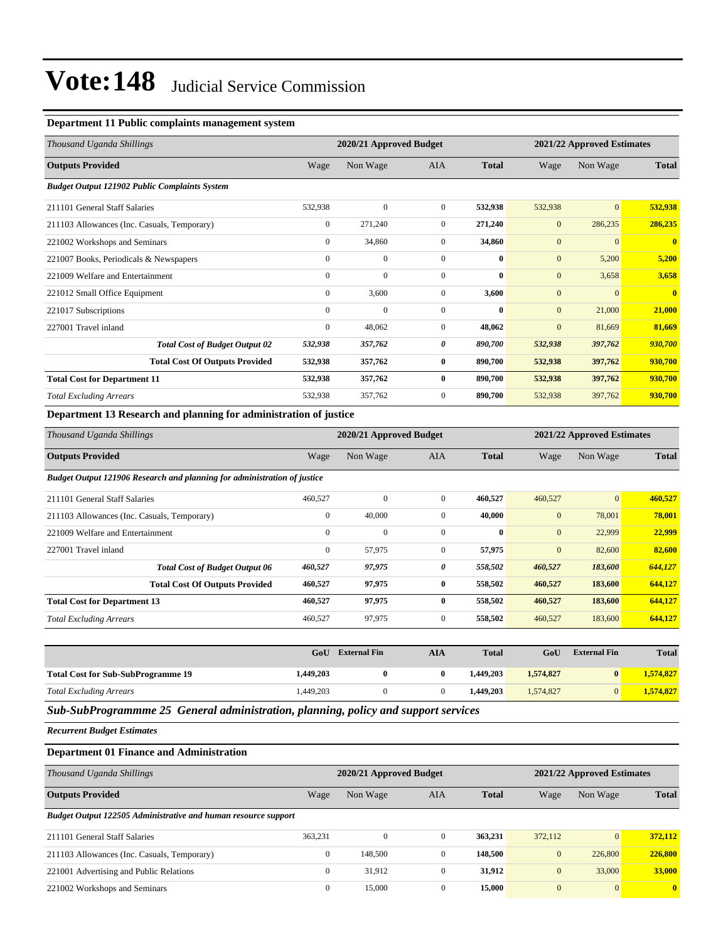#### **Department 11 Public complaints management system**

| Thousand Uganda Shillings                            |                  | 2020/21 Approved Budget |                |              | 2021/22 Approved Estimates |                |                |
|------------------------------------------------------|------------------|-------------------------|----------------|--------------|----------------------------|----------------|----------------|
| <b>Outputs Provided</b>                              | Wage             | Non Wage                | <b>AIA</b>     | <b>Total</b> | Wage                       | Non Wage       | <b>Total</b>   |
| <b>Budget Output 121902 Public Complaints System</b> |                  |                         |                |              |                            |                |                |
| 211101 General Staff Salaries                        | 532,938          | $\Omega$                | $\overline{0}$ | 532,938      | 532,938                    | $\overline{0}$ | 532,938        |
| 211103 Allowances (Inc. Casuals, Temporary)          | $\mathbf{0}$     | 271,240                 | $\mathbf{0}$   | 271,240      | $\mathbf{0}$               | 286,235        | 286,235        |
| 221002 Workshops and Seminars                        | $\boldsymbol{0}$ | 34,860                  | $\overline{0}$ | 34,860       | $\mathbf{0}$               | $\mathbf{0}$   | $\overline{0}$ |
| 221007 Books, Periodicals & Newspapers               | $\mathbf{0}$     | $\mathbf{0}$            | $\mathbf{0}$   | $\bf{0}$     | $\mathbf{0}$               | 5,200          | 5,200          |
| 221009 Welfare and Entertainment                     | $\mathbf{0}$     | $\mathbf{0}$            | $\Omega$       | $\mathbf{0}$ | $\mathbf{0}$               | 3,658          | 3,658          |
| 221012 Small Office Equipment                        | $\mathbf{0}$     | 3,600                   | $\mathbf{0}$   | 3,600        | $\mathbf{0}$               | $\mathbf{0}$   | $\mathbf{0}$   |
| 221017 Subscriptions                                 | $\mathbf{0}$     | $\mathbf{0}$            | $\mathbf{0}$   | $\bf{0}$     | $\mathbf{0}$               | 21,000         | 21,000         |
| 227001 Travel inland                                 | $\mathbf{0}$     | 48,062                  | $\overline{0}$ | 48,062       | $\mathbf{0}$               | 81,669         | 81,669         |
| <b>Total Cost of Budget Output 02</b>                | 532,938          | 357,762                 | 0              | 890,700      | 532,938                    | 397,762        | 930,700        |
| <b>Total Cost Of Outputs Provided</b>                | 532,938          | 357,762                 | $\bf{0}$       | 890,700      | 532,938                    | 397,762        | 930,700        |
| <b>Total Cost for Department 11</b>                  | 532,938          | 357,762                 | $\bf{0}$       | 890,700      | 532,938                    | 397,762        | 930,700        |
| <b>Total Excluding Arrears</b>                       | 532,938          | 357,762                 | $\overline{0}$ | 890,700      | 532,938                    | 397,762        | 930,700        |

#### **Department 13 Research and planning for administration of justice**

| Thousand Uganda Shillings                                                |                  | 2020/21 Approved Budget |                |              | 2021/22 Approved Estimates |                |              |
|--------------------------------------------------------------------------|------------------|-------------------------|----------------|--------------|----------------------------|----------------|--------------|
| <b>Outputs Provided</b>                                                  | Wage             | Non Wage                | <b>AIA</b>     | <b>Total</b> | Wage                       | Non Wage       | <b>Total</b> |
| Budget Output 121906 Research and planning for administration of justice |                  |                         |                |              |                            |                |              |
| 211101 General Staff Salaries                                            | 460,527          | $\mathbf{0}$            | $\mathbf{0}$   | 460,527      | 460,527                    | $\overline{0}$ | 460,527      |
| 211103 Allowances (Inc. Casuals, Temporary)                              | $\boldsymbol{0}$ | 40,000                  | $\mathbf{0}$   | 40,000       | $\mathbf{0}$               | 78,001         | 78,001       |
| 221009 Welfare and Entertainment                                         | $\mathbf{0}$     | $\mathbf{0}$            | $\mathbf{0}$   | $\bf{0}$     | $\mathbf{0}$               | 22,999         | 22,999       |
| 227001 Travel inland                                                     | $\mathbf{0}$     | 57,975                  | $\overline{0}$ | 57,975       | $\mathbf{0}$               | 82,600         | 82,600       |
| <b>Total Cost of Budget Output 06</b>                                    | 460,527          | 97,975                  | 0              | 558,502      | 460,527                    | 183,600        | 644,127      |
| <b>Total Cost Of Outputs Provided</b>                                    | 460,527          | 97,975                  | $\bf{0}$       | 558,502      | 460,527                    | 183,600        | 644,127      |
| <b>Total Cost for Department 13</b>                                      | 460,527          | 97,975                  | 0              | 558,502      | 460,527                    | 183,600        | 644,127      |
| <b>Total Excluding Arrears</b>                                           | 460,527          | 97,975                  | $\overline{0}$ | 558,502      | 460,527                    | 183,600        | 644,127      |
|                                                                          |                  |                         |                |              |                            |                |              |

|                                           | GoU       | <b>External Fin</b> | AIA | <b>Total</b> | GoU       | <b>External Fin</b> | <b>Total</b> |
|-------------------------------------------|-----------|---------------------|-----|--------------|-----------|---------------------|--------------|
| <b>Total Cost for Sub-SubProgramme 19</b> | 1,449,203 |                     |     | 1.449.203    | 1.574.827 |                     | 1,574,827    |
| <b>Total Excluding Arrears</b>            | 1,449,203 |                     |     | 1.449.203    | 1,574,827 |                     | 1,574,827    |

*Sub-SubProgrammme 25 General administration, planning, policy and support services*

*Recurrent Budget Estimates*

#### **Department 01 Finance and Administration**

| Thousand Uganda Shillings                                      | 2020/21 Approved Budget |              |                |              | 2021/22 Approved Estimates |                 |              |
|----------------------------------------------------------------|-------------------------|--------------|----------------|--------------|----------------------------|-----------------|--------------|
| <b>Outputs Provided</b>                                        | Wage                    | Non Wage     | AIA            | <b>Total</b> | Wage                       | Non Wage        | <b>Total</b> |
| Budget Output 122505 Administrative and human resource support |                         |              |                |              |                            |                 |              |
| 211101 General Staff Salaries                                  | 363.231                 | $\mathbf{0}$ | $\overline{0}$ | 363,231      | 372,112                    | $\vert 0 \vert$ | 372,112      |
| 211103 Allowances (Inc. Casuals, Temporary)                    | $\mathbf{0}$            | 148,500      | $\mathbf{0}$   | 148.500      | $\mathbf{0}$               | 226,800         | 226,800      |
| 221001 Advertising and Public Relations                        | $\mathbf{0}$            | 31.912       | $\mathbf{0}$   | 31.912       | $\mathbf{0}$               | 33,000          | 33,000       |
| 221002 Workshops and Seminars                                  | $\overline{0}$          | 15,000       | $\mathbf{0}$   | 15,000       | $\mathbf{0}$               | $\overline{0}$  | $\mathbf{0}$ |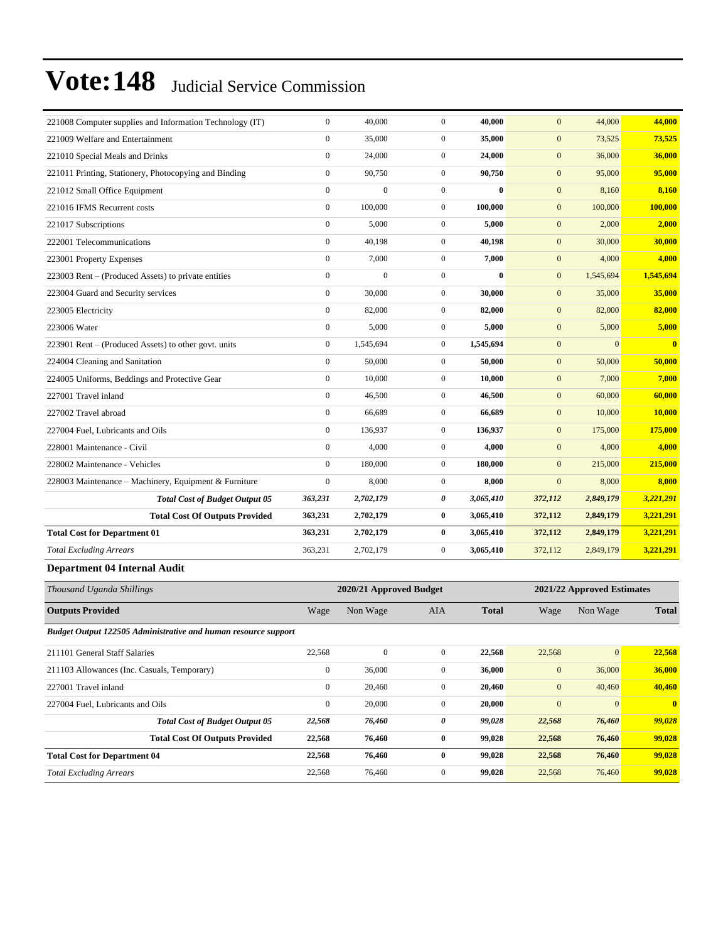| 221008 Computer supplies and Information Technology (IT) | $\Omega$         | 40,000           | $\Omega$       | 40,000       | $\mathbf{0}$  | 44,000                        | 44,000                  |
|----------------------------------------------------------|------------------|------------------|----------------|--------------|---------------|-------------------------------|-------------------------|
| 221009 Welfare and Entertainment                         | $\boldsymbol{0}$ | 35,000           | $\overline{0}$ | 35,000       | $\mathbf{0}$  | 73,525                        | 73,525                  |
| 221010 Special Meals and Drinks                          | $\theta$         | 24,000           | $\overline{0}$ | 24,000       | $\mathbf{0}$  | 36,000                        | 36,000                  |
| 221011 Printing, Stationery, Photocopying and Binding    | $\mathbf{0}$     | 90,750           | $\overline{0}$ | 90,750       | $\mathbf{0}$  | 95,000                        | 95,000                  |
| 221012 Small Office Equipment                            | $\mathbf{0}$     | $\overline{0}$   | $\overline{0}$ | $\mathbf{0}$ | $\mathbf{0}$  | 8,160                         | 8,160                   |
| 221016 IFMS Recurrent costs                              | $\mathbf{0}$     | 100,000          | $\overline{0}$ | 100,000      | $\mathbf{0}$  | 100,000                       | 100,000                 |
| 221017 Subscriptions                                     | $\mathbf{0}$     | 5,000            | $\overline{0}$ | 5.000        | $\mathbf{0}$  | 2,000                         | 2,000                   |
| 222001 Telecommunications                                | $\mathbf{0}$     | 40,198           | $\overline{0}$ | 40,198       | $\mathbf{0}$  | 30,000                        | 30,000                  |
| 223001 Property Expenses                                 | $\mathbf{0}$     | 7,000            | $\overline{0}$ | 7,000        | $\mathbf{0}$  | 4,000                         | 4,000                   |
| 223003 Rent – (Produced Assets) to private entities      | $\mathbf{0}$     | $\boldsymbol{0}$ | $\overline{0}$ | $\bf{0}$     | $\mathbf{0}$  | 1,545,694                     | 1,545,694               |
| 223004 Guard and Security services                       | $\mathbf{0}$     | 30,000           | $\overline{0}$ | 30,000       | $\mathbf{0}$  | 35,000                        | 35,000                  |
| 223005 Electricity                                       | $\mathbf{0}$     | 82,000           | $\overline{0}$ | 82,000       | $\mathbf{0}$  | 82,000                        | 82,000                  |
| 223006 Water                                             | $\mathbf{0}$     | 5,000            | $\mathbf{0}$   | 5.000        | $\mathbf{0}$  | 5,000                         | 5,000                   |
| 223901 Rent – (Produced Assets) to other govt. units     | $\mathbf{0}$     | 1,545,694        | $\overline{0}$ | 1,545,694    | $\mathbf{0}$  | $\overline{0}$                | $\overline{\mathbf{0}}$ |
| 224004 Cleaning and Sanitation                           | $\mathbf{0}$     | 50,000           | $\overline{0}$ | 50,000       | $\mathbf{0}$  | 50,000                        | 50,000                  |
| 224005 Uniforms, Beddings and Protective Gear            | $\boldsymbol{0}$ | 10,000           | $\overline{0}$ | 10,000       | $\mathbf{0}$  | 7,000                         | 7,000                   |
| 227001 Travel inland                                     | $\mathbf{0}$     | 46,500           | $\overline{0}$ | 46,500       | $\mathbf{0}$  | 60,000                        | 60,000                  |
| 227002 Travel abroad                                     | $\mathbf{0}$     | 66,689           | $\overline{0}$ | 66,689       | $\mathbf{0}$  | 10,000                        | 10,000                  |
| 227004 Fuel, Lubricants and Oils                         | $\mathbf{0}$     | 136,937          | $\overline{0}$ | 136,937      | $\mathbf{0}$  | 175,000                       | 175,000                 |
| 228001 Maintenance - Civil                               | $\mathbf{0}$     | 4,000            | $\overline{0}$ | 4,000        | $\mathbf{0}$  | 4,000                         | 4,000                   |
| 228002 Maintenance - Vehicles                            | $\Omega$         | 180,000          | $\overline{0}$ | 180,000      | $\mathbf{0}$  | 215,000                       | 215,000                 |
| 228003 Maintenance - Machinery, Equipment & Furniture    | $\boldsymbol{0}$ | 8,000            | $\overline{0}$ | 8,000        | $\mathbf{0}$  | 8,000                         | 8,000                   |
| <b>Total Cost of Budget Output 05</b>                    | 363,231          | 2,702,179        | 0              | 3,065,410    | 372,112       | 2,849,179                     | 3,221,291               |
| <b>Total Cost Of Outputs Provided</b>                    | 363,231          | 2,702,179        | $\bf{0}$       | 3,065,410    | 372,112       | 2,849,179                     | 3,221,291               |
| <b>Total Cost for Department 01</b>                      | 363,231          | 2,702,179        | $\bf{0}$       | 3,065,410    | 372,112       | 2,849,179                     | 3,221,291               |
| <b>Total Excluding Arrears</b>                           | 363,231          | 2,702,179        | $\overline{0}$ | 3,065,410    | 372,112       | 2,849,179                     | 3,221,291               |
| <b>Department 04 Internal Audit</b>                      |                  |                  |                |              |               |                               |                         |
| $\mathbf{r}$<br>$1 \quad 01 \quad 11$                    |                  | $\frac{1}{2}$    | $\mathbf{r}$   |              | $\frac{1}{2}$ | $\mathbf{r}$ and $\mathbf{r}$ |                         |

| Thousand Uganda Shillings                                      |                  | 2020/21 Approved Budget |                | 2021/22 Approved Estimates |              |                 |              |
|----------------------------------------------------------------|------------------|-------------------------|----------------|----------------------------|--------------|-----------------|--------------|
| <b>Outputs Provided</b>                                        | Wage             | Non Wage                | <b>AIA</b>     | <b>Total</b>               | Wage         | Non Wage        | <b>Total</b> |
| Budget Output 122505 Administrative and human resource support |                  |                         |                |                            |              |                 |              |
| 211101 General Staff Salaries                                  | 22,568           | $\mathbf{0}$            | $\mathbf{0}$   | 22,568                     | 22,568       | $\vert 0 \vert$ | 22,568       |
| 211103 Allowances (Inc. Casuals, Temporary)                    | $\boldsymbol{0}$ | 36,000                  | $\mathbf{0}$   | 36,000                     | $\mathbf{0}$ | 36,000          | 36,000       |
| 227001 Travel inland                                           | $\mathbf{0}$     | 20,460                  | $\overline{0}$ | 20,460                     | $\mathbf{0}$ | 40,460          | 40,460       |
| 227004 Fuel, Lubricants and Oils                               | $\boldsymbol{0}$ | 20,000                  | $\mathbf{0}$   | 20,000                     | $\mathbf{0}$ | $\overline{0}$  | $\mathbf{0}$ |
| <b>Total Cost of Budget Output 05</b>                          | 22,568           | 76,460                  | 0              | 99,028                     | 22,568       | 76,460          | 99,028       |
| <b>Total Cost Of Outputs Provided</b>                          | 22,568           | 76,460                  | $\bf{0}$       | 99,028                     | 22,568       | 76,460          | 99,028       |
| <b>Total Cost for Department 04</b>                            | 22,568           | 76,460                  | $\bf{0}$       | 99,028                     | 22,568       | 76,460          | 99,028       |
| <b>Total Excluding Arrears</b>                                 | 22,568           | 76,460                  | $\mathbf{0}$   | 99,028                     | 22,568       | 76,460          | 99,028       |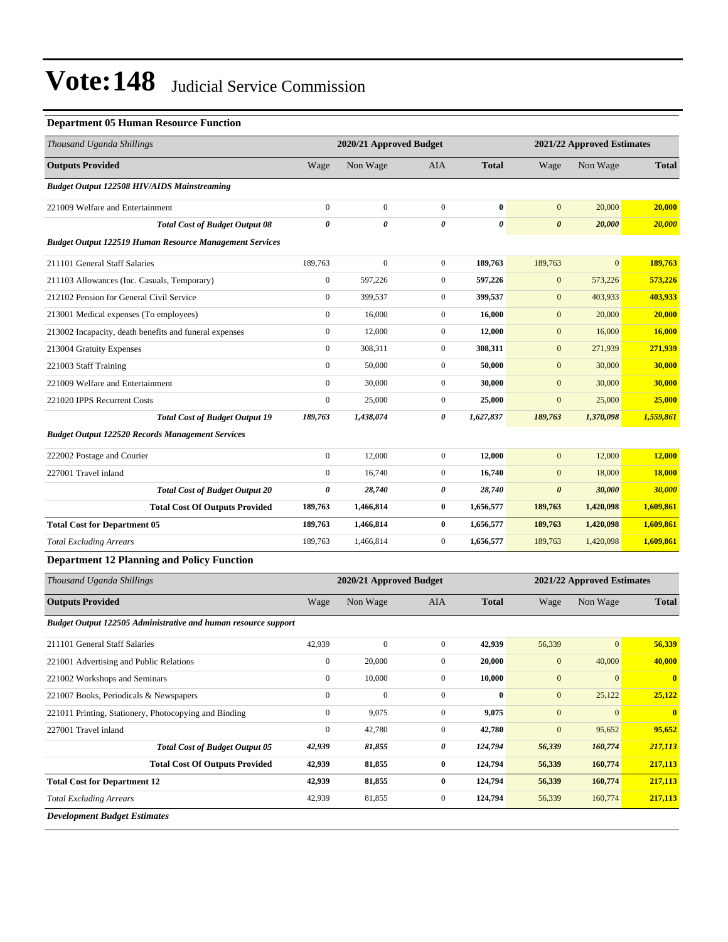#### **Department 05 Human Resource Function**

| Thousand Uganda Shillings                                             | 2020/21 Approved Budget |                         |                  | 2021/22 Approved Estimates |                       |                            |               |
|-----------------------------------------------------------------------|-------------------------|-------------------------|------------------|----------------------------|-----------------------|----------------------------|---------------|
| <b>Outputs Provided</b>                                               | Wage                    | Non Wage                | AIA              | <b>Total</b>               | Wage                  | Non Wage                   | <b>Total</b>  |
| <b>Budget Output 122508 HIV/AIDS Mainstreaming</b>                    |                         |                         |                  |                            |                       |                            |               |
| 221009 Welfare and Entertainment                                      | $\boldsymbol{0}$        | $\mathbf{0}$            | $\mathbf{0}$     | $\bf{0}$                   | $\mathbf{0}$          | 20,000                     | 20,000        |
| <b>Total Cost of Budget Output 08</b>                                 | $\boldsymbol{\theta}$   | 0                       | $\theta$         | 0                          | $\boldsymbol{\theta}$ | 20,000                     | 20,000        |
| <b>Budget Output 122519 Human Resource Management Services</b>        |                         |                         |                  |                            |                       |                            |               |
| 211101 General Staff Salaries                                         | 189,763                 | $\boldsymbol{0}$        | $\overline{0}$   | 189,763                    | 189,763               | $\mathbf{0}$               | 189,763       |
| 211103 Allowances (Inc. Casuals, Temporary)                           | $\boldsymbol{0}$        | 597,226                 | $\mathbf{0}$     | 597,226                    | $\mathbf{0}$          | 573,226                    | 573,226       |
| 212102 Pension for General Civil Service                              | $\boldsymbol{0}$        | 399,537                 | $\boldsymbol{0}$ | 399,537                    | $\mathbf{0}$          | 403,933                    | 403,933       |
| 213001 Medical expenses (To employees)                                | $\boldsymbol{0}$        | 16,000                  | $\boldsymbol{0}$ | 16,000                     | $\boldsymbol{0}$      | 20,000                     | 20,000        |
| 213002 Incapacity, death benefits and funeral expenses                | $\boldsymbol{0}$        | 12,000                  | $\mathbf{0}$     | 12,000                     | $\mathbf{0}$          | 16,000                     | 16,000        |
| 213004 Gratuity Expenses                                              | $\boldsymbol{0}$        | 308,311                 | $\mathbf{0}$     | 308,311                    | $\mathbf{0}$          | 271,939                    | 271,939       |
| 221003 Staff Training                                                 | $\boldsymbol{0}$        | 50,000                  | $\mathbf{0}$     | 50,000                     | $\mathbf{0}$          | 30,000                     | 30,000        |
| 221009 Welfare and Entertainment                                      | $\boldsymbol{0}$        | 30,000                  | $\boldsymbol{0}$ | 30,000                     | $\mathbf{0}$          | 30,000                     | 30,000        |
| 221020 IPPS Recurrent Costs                                           | $\boldsymbol{0}$        | 25,000                  | $\boldsymbol{0}$ | 25,000                     | $\boldsymbol{0}$      | 25,000                     | 25,000        |
| <b>Total Cost of Budget Output 19</b>                                 | 189,763                 | 1,438,074               | 0                | 1,627,837                  | 189,763               | 1,370,098                  | 1,559,861     |
| <b>Budget Output 122520 Records Management Services</b>               |                         |                         |                  |                            |                       |                            |               |
| 222002 Postage and Courier                                            | $\boldsymbol{0}$        | 12,000                  | $\mathbf{0}$     | 12,000                     | $\mathbf{0}$          | 12,000                     | 12,000        |
| 227001 Travel inland                                                  | $\boldsymbol{0}$        | 16,740                  | $\mathbf{0}$     | 16,740                     | $\mathbf{0}$          | 18,000                     | <b>18,000</b> |
| <b>Total Cost of Budget Output 20</b>                                 | 0                       | 28,740                  | 0                | 28,740                     | $\boldsymbol{\theta}$ | 30,000                     | 30,000        |
| <b>Total Cost Of Outputs Provided</b>                                 | 189,763                 | 1,466,814               | $\bf{0}$         | 1,656,577                  | 189,763               | 1,420,098                  | 1,609,861     |
| <b>Total Cost for Department 05</b>                                   | 189,763                 | 1,466,814               | $\bf{0}$         | 1,656,577                  | 189,763               | 1,420,098                  | 1,609,861     |
| <b>Total Excluding Arrears</b>                                        | 189,763                 | 1,466,814               | $\boldsymbol{0}$ | 1,656,577                  | 189,763               | 1,420,098                  | 1,609,861     |
| <b>Department 12 Planning and Policy Function</b>                     |                         |                         |                  |                            |                       |                            |               |
| Thousand Uganda Shillings                                             |                         | 2020/21 Approved Budget |                  |                            |                       | 2021/22 Approved Estimates |               |
| <b>Outputs Provided</b>                                               | Wage                    | Non Wage                | AIA              | <b>Total</b>               | Wage                  | Non Wage                   | <b>Total</b>  |
| <b>Budget Output 122505 Administrative and human resource support</b> |                         |                         |                  |                            |                       |                            |               |
| 211101 General Staff Salaries                                         | 42,939                  | $\boldsymbol{0}$        | $\mathbf{0}$     | 42,939                     | 56,339                | $\mathbf{0}$               | 56,339        |
| 221001 Advertising and Public Relations                               | $\boldsymbol{0}$        | 20,000                  | $\boldsymbol{0}$ | 20,000                     | $\mathbf{0}$          | 40,000                     | <b>40,000</b> |
| 221002 Workshops and Seminars                                         | $\boldsymbol{0}$        | 10,000                  | $\boldsymbol{0}$ | 10,000                     | $\boldsymbol{0}$      | $\bf{0}$                   | $\mathbf{0}$  |
| 221007 Books, Periodicals & Newspapers                                | $\boldsymbol{0}$        | $\boldsymbol{0}$        | $\boldsymbol{0}$ | $\boldsymbol{0}$           | $\mathbf{0}$          | 25,122                     | 25,122        |
| 221011 Printing, Stationery, Photocopying and Binding                 | $\boldsymbol{0}$        | 9,075                   | $\boldsymbol{0}$ | 9,075                      | $\boldsymbol{0}$      | $\boldsymbol{0}$           | $\bf{0}$      |
| 227001 Travel inland                                                  | $\boldsymbol{0}$        | 42,780                  | $\boldsymbol{0}$ | 42,780                     | $\boldsymbol{0}$      | 95,652                     | 95,652        |
| <b>Total Cost of Budget Output 05</b>                                 | 42,939                  | 81,855                  | 0                | 124,794                    | 56,339                | 160,774                    | 217,113       |
| <b>Total Cost Of Outputs Provided</b>                                 | 42,939                  | 81,855                  | $\bf{0}$         | 124,794                    | 56,339                | 160,774                    | 217,113       |
| <b>Total Cost for Department 12</b>                                   | 42,939                  | 81,855                  | $\bf{0}$         | 124,794                    | 56,339                | 160,774                    | 217,113       |
| <b>Total Excluding Arrears</b>                                        | 42,939                  | 81,855                  | $\boldsymbol{0}$ | 124,794                    | 56,339                | 160,774                    | 217,113       |
| <b>Development Budget Estimates</b>                                   |                         |                         |                  |                            |                       |                            |               |